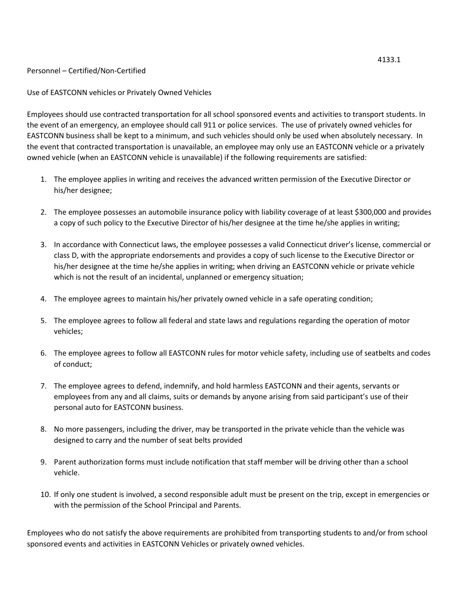## Personnel – Certified/Non-Certified

Use of EASTCONN vehicles or Privately Owned Vehicles

Employees should use contracted transportation for all school sponsored events and activities to transport students. In the event of an emergency, an employee should call 911 or police services. The use of privately owned vehicles for EASTCONN business shall be kept to a minimum, and such vehicles should only be used when absolutely necessary. In the event that contracted transportation is unavailable, an employee may only use an EASTCONN vehicle or a privately owned vehicle (when an EASTCONN vehicle is unavailable) if the following requirements are satisfied:

- 1. The employee applies in writing and receives the advanced written permission of the Executive Director or his/her designee;
- 2. The employee possesses an automobile insurance policy with liability coverage of at least \$300,000 and provides a copy of such policy to the Executive Director of his/her designee at the time he/she applies in writing;
- 3. In accordance with Connecticut laws, the employee possesses a valid Connecticut driver's license, commercial or class D, with the appropriate endorsements and provides a copy of such license to the Executive Director or his/her designee at the time he/she applies in writing; when driving an EASTCONN vehicle or private vehicle which is not the result of an incidental, unplanned or emergency situation;
- 4. The employee agrees to maintain his/her privately owned vehicle in a safe operating condition;
- 5. The employee agrees to follow all federal and state laws and regulations regarding the operation of motor vehicles;
- 6. The employee agrees to follow all EASTCONN rules for motor vehicle safety, including use of seatbelts and codes of conduct;
- 7. The employee agrees to defend, indemnify, and hold harmless EASTCONN and their agents, servants or employees from any and all claims, suits or demands by anyone arising from said participant's use of their personal auto for EASTCONN business.
- 8. No more passengers, including the driver, may be transported in the private vehicle than the vehicle was designed to carry and the number of seat belts provided
- 9. Parent authorization forms must include notification that staff member will be driving other than a school vehicle.
- 10. If only one student is involved, a second responsible adult must be present on the trip, except in emergencies or with the permission of the School Principal and Parents.

Employees who do not satisfy the above requirements are prohibited from transporting students to and/or from school sponsored events and activities in EASTCONN Vehicles or privately owned vehicles.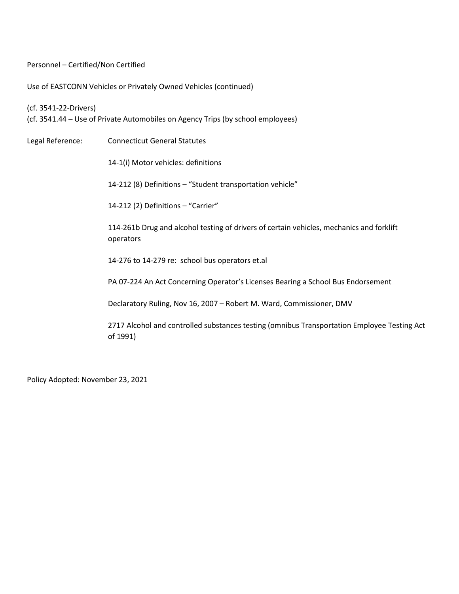Personnel – Certified/Non Certified

Use of EASTCONN Vehicles or Privately Owned Vehicles (continued)

(cf. 3541-22-Drivers) (cf. 3541.44 – Use of Private Automobiles on Agency Trips (by school employees)

Legal Reference: Connecticut General Statutes 14-1(i) Motor vehicles: definitions 14-212 (8) Definitions – "Student transportation vehicle" 14-212 (2) Definitions – "Carrier" 114-261b Drug and alcohol testing of drivers of certain vehicles, mechanics and forklift operators 14-276 to 14-279 re: school bus operators et.al PA 07-224 An Act Concerning Operator's Licenses Bearing a School Bus Endorsement Declaratory Ruling, Nov 16, 2007 – Robert M. Ward, Commissioner, DMV 2717 Alcohol and controlled substances testing (omnibus Transportation Employee Testing Act of 1991)

Policy Adopted: November 23, 2021